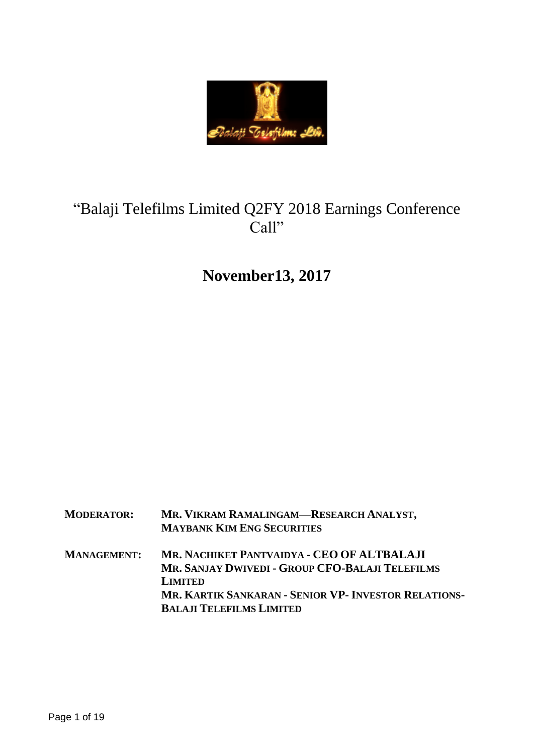

# "Balaji Telefilms Limited Q2FY 2018 Earnings Conference Call"

# **November13, 2017**

| <b>MODERATOR:</b>  | MR. VIKRAM RAMALINGAM—RESEARCH ANALYST,<br><b>MAYBANK KIM ENG SECURITIES</b>                                                                                                                                      |
|--------------------|-------------------------------------------------------------------------------------------------------------------------------------------------------------------------------------------------------------------|
| <b>MANAGEMENT:</b> | MR. NACHIKET PANTVAIDYA - CEO OF ALTBALAJI<br>MR. SANJAY DWIVEDI - GROUP CFO-BALAJI TELEFILMS<br><b>LIMITED</b><br><b>MR. KARTIK SANKARAN - SENIOR VP- INVESTOR RELATIONS-</b><br><b>BALAJI TELEFILMS LIMITED</b> |
|                    |                                                                                                                                                                                                                   |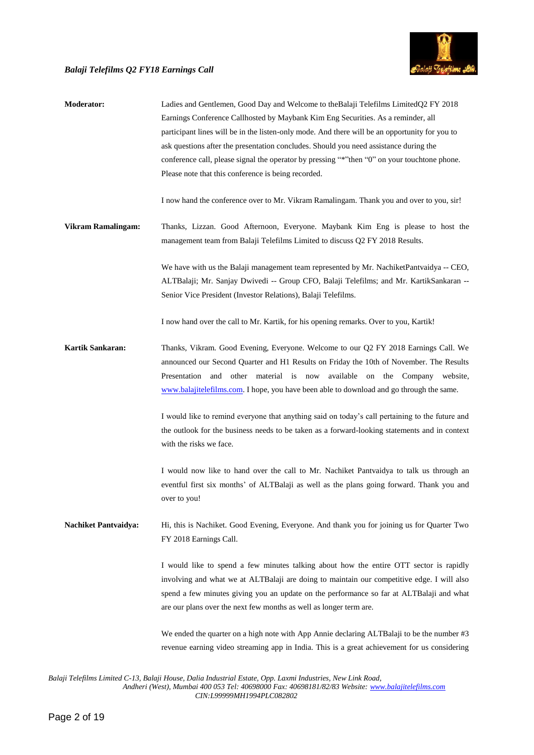

| <b>Moderator:</b>           | Ladies and Gentlemen, Good Day and Welcome to the Balaji Telefilms Limited Q2 FY 2018<br>Earnings Conference Callhosted by Maybank Kim Eng Securities. As a reminder, all<br>participant lines will be in the listen-only mode. And there will be an opportunity for you to<br>ask questions after the presentation concludes. Should you need assistance during the<br>conference call, please signal the operator by pressing "*" then "0" on your touchtone phone.<br>Please note that this conference is being recorded. |
|-----------------------------|------------------------------------------------------------------------------------------------------------------------------------------------------------------------------------------------------------------------------------------------------------------------------------------------------------------------------------------------------------------------------------------------------------------------------------------------------------------------------------------------------------------------------|
|                             | I now hand the conference over to Mr. Vikram Ramalingam. Thank you and over to you, sir!                                                                                                                                                                                                                                                                                                                                                                                                                                     |
| <b>Vikram Ramalingam:</b>   | Thanks, Lizzan. Good Afternoon, Everyone. Maybank Kim Eng is please to host the<br>management team from Balaji Telefilms Limited to discuss Q2 FY 2018 Results.                                                                                                                                                                                                                                                                                                                                                              |
|                             | We have with us the Balaji management team represented by Mr. NachiketPantvaidya -- CEO,<br>ALTBalaji; Mr. Sanjay Dwivedi -- Group CFO, Balaji Telefilms; and Mr. KartikSankaran --<br>Senior Vice President (Investor Relations), Balaji Telefilms.                                                                                                                                                                                                                                                                         |
|                             | I now hand over the call to Mr. Kartik, for his opening remarks. Over to you, Kartik!                                                                                                                                                                                                                                                                                                                                                                                                                                        |
| Kartik Sankaran:            | Thanks, Vikram. Good Evening, Everyone. Welcome to our Q2 FY 2018 Earnings Call. We<br>announced our Second Quarter and H1 Results on Friday the 10th of November. The Results<br>Presentation and other material is now<br>available on the Company website,<br>www.balajitelefilms.com. I hope, you have been able to download and go through the same.                                                                                                                                                                    |
|                             | I would like to remind everyone that anything said on today's call pertaining to the future and<br>the outlook for the business needs to be taken as a forward-looking statements and in context<br>with the risks we face.                                                                                                                                                                                                                                                                                                  |
|                             | I would now like to hand over the call to Mr. Nachiket Pantvaidya to talk us through an<br>eventful first six months' of ALTBalaji as well as the plans going forward. Thank you and<br>over to you!                                                                                                                                                                                                                                                                                                                         |
| <b>Nachiket Pantvaidya:</b> | Hi, this is Nachiket. Good Evening, Everyone. And thank you for joining us for Quarter Two<br>FY 2018 Earnings Call.                                                                                                                                                                                                                                                                                                                                                                                                         |
|                             | I would like to spend a few minutes talking about how the entire OTT sector is rapidly<br>involving and what we at ALTBalaji are doing to maintain our competitive edge. I will also<br>spend a few minutes giving you an update on the performance so far at ALTBalaji and what<br>are our plans over the next few months as well as longer term are.                                                                                                                                                                       |
|                             | We ended the quarter on a high note with App Annie declaring ALTBalaji to be the number #3<br>revenue earning video streaming app in India. This is a great achievement for us considering                                                                                                                                                                                                                                                                                                                                   |

*Balaji Telefilms Limited C-13, Balaji House, Dalia Industrial Estate, Opp. Laxmi Industries, New Link Road,*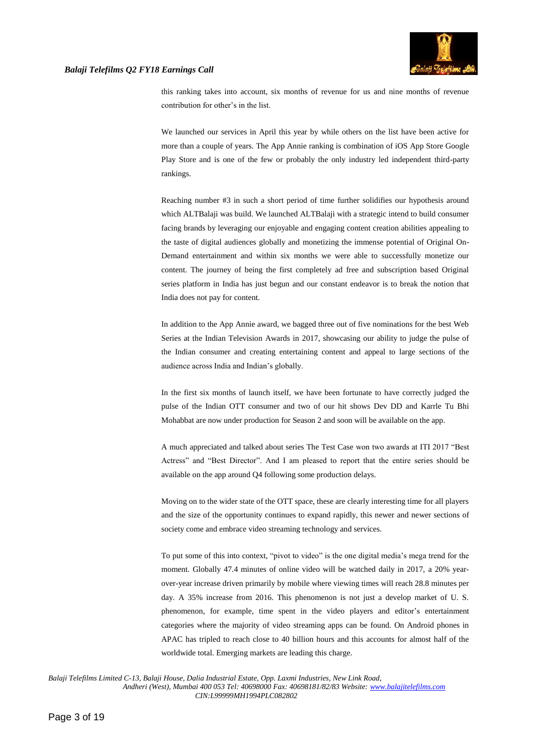

this ranking takes into account, six months of revenue for us and nine months of revenue contribution for other's in the list.

We launched our services in April this year by while others on the list have been active for more than a couple of years. The App Annie ranking is combination of iOS App Store Google Play Store and is one of the few or probably the only industry led independent third-party rankings.

Reaching number #3 in such a short period of time further solidifies our hypothesis around which ALTBalaji was build. We launched ALTBalaji with a strategic intend to build consumer facing brands by leveraging our enjoyable and engaging content creation abilities appealing to the taste of digital audiences globally and monetizing the immense potential of Original On-Demand entertainment and within six months we were able to successfully monetize our content. The journey of being the first completely ad free and subscription based Original series platform in India has just begun and our constant endeavor is to break the notion that India does not pay for content.

In addition to the App Annie award, we bagged three out of five nominations for the best Web Series at the Indian Television Awards in 2017, showcasing our ability to judge the pulse of the Indian consumer and creating entertaining content and appeal to large sections of the audience across India and Indian's globally.

In the first six months of launch itself, we have been fortunate to have correctly judged the pulse of the Indian OTT consumer and two of our hit shows Dev DD and Karrle Tu Bhi Mohabbat are now under production for Season 2 and soon will be available on the app.

A much appreciated and talked about series The Test Case won two awards at ITI 2017 "Best Actress" and "Best Director". And I am pleased to report that the entire series should be available on the app around Q4 following some production delays.

Moving on to the wider state of the OTT space, these are clearly interesting time for all players and the size of the opportunity continues to expand rapidly, this newer and newer sections of society come and embrace video streaming technology and services.

To put some of this into context, "pivot to video" is the one digital media's mega trend for the moment. Globally 47.4 minutes of online video will be watched daily in 2017, a 20% yearover-year increase driven primarily by mobile where viewing times will reach 28.8 minutes per day. A 35% increase from 2016. This phenomenon is not just a develop market of U. S. phenomenon, for example, time spent in the video players and editor's entertainment categories where the majority of video streaming apps can be found. On Android phones in APAC has tripled to reach close to 40 billion hours and this accounts for almost half of the worldwide total. Emerging markets are leading this charge.

*Balaji Telefilms Limited C-13, Balaji House, Dalia Industrial Estate, Opp. Laxmi Industries, New Link Road,*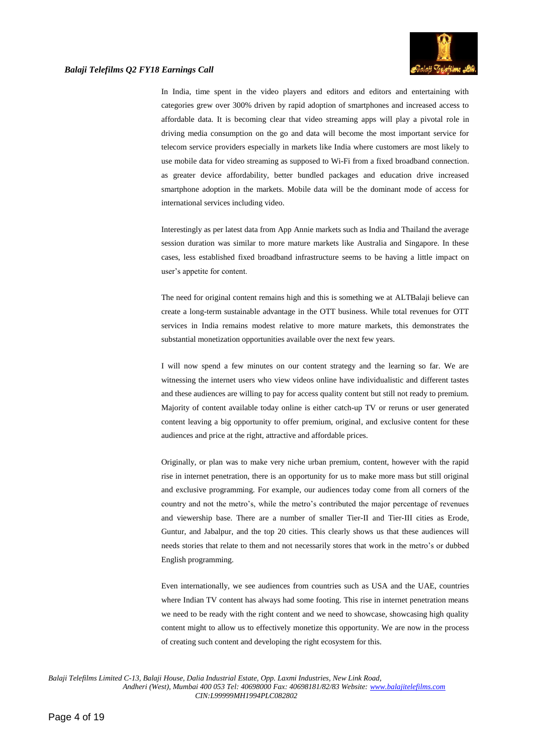

In India, time spent in the video players and editors and editors and entertaining with categories grew over 300% driven by rapid adoption of smartphones and increased access to affordable data. It is becoming clear that video streaming apps will play a pivotal role in driving media consumption on the go and data will become the most important service for telecom service providers especially in markets like India where customers are most likely to use mobile data for video streaming as supposed to Wi-Fi from a fixed broadband connection. as greater device affordability, better bundled packages and education drive increased smartphone adoption in the markets. Mobile data will be the dominant mode of access for international services including video.

Interestingly as per latest data from App Annie markets such as India and Thailand the average session duration was similar to more mature markets like Australia and Singapore. In these cases, less established fixed broadband infrastructure seems to be having a little impact on user's appetite for content.

The need for original content remains high and this is something we at ALTBalaji believe can create a long-term sustainable advantage in the OTT business. While total revenues for OTT services in India remains modest relative to more mature markets, this demonstrates the substantial monetization opportunities available over the next few years.

I will now spend a few minutes on our content strategy and the learning so far. We are witnessing the internet users who view videos online have individualistic and different tastes and these audiences are willing to pay for access quality content but still not ready to premium. Majority of content available today online is either catch-up TV or reruns or user generated content leaving a big opportunity to offer premium, original, and exclusive content for these audiences and price at the right, attractive and affordable prices.

Originally, or plan was to make very niche urban premium, content, however with the rapid rise in internet penetration, there is an opportunity for us to make more mass but still original and exclusive programming. For example, our audiences today come from all corners of the country and not the metro's, while the metro's contributed the major percentage of revenues and viewership base. There are a number of smaller Tier-II and Tier-III cities as Erode, Guntur, and Jabalpur, and the top 20 cities. This clearly shows us that these audiences will needs stories that relate to them and not necessarily stores that work in the metro's or dubbed English programming.

Even internationally, we see audiences from countries such as USA and the UAE, countries where Indian TV content has always had some footing. This rise in internet penetration means we need to be ready with the right content and we need to showcase, showcasing high quality content might to allow us to effectively monetize this opportunity. We are now in the process of creating such content and developing the right ecosystem for this.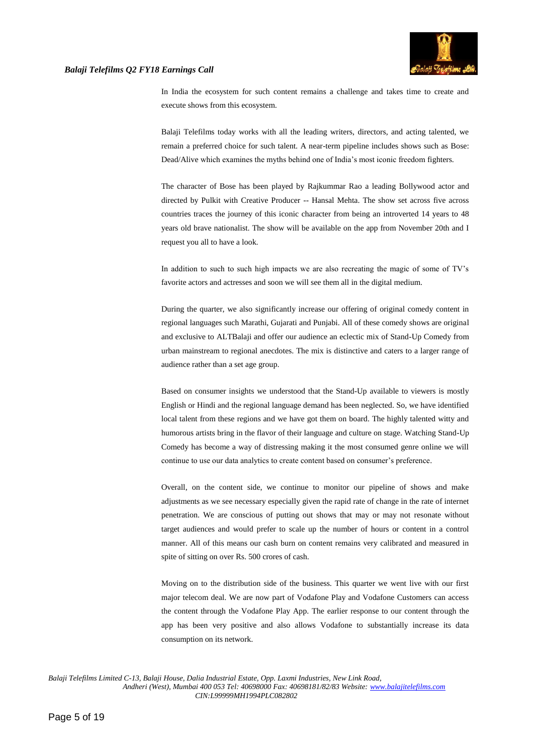

In India the ecosystem for such content remains a challenge and takes time to create and execute shows from this ecosystem.

Balaji Telefilms today works with all the leading writers, directors, and acting talented, we remain a preferred choice for such talent. A near-term pipeline includes shows such as Bose: Dead/Alive which examines the myths behind one of India's most iconic freedom fighters.

The character of Bose has been played by Rajkummar Rao a leading Bollywood actor and directed by Pulkit with Creative Producer -- Hansal Mehta. The show set across five across countries traces the journey of this iconic character from being an introverted 14 years to 48 years old brave nationalist. The show will be available on the app from November 20th and I request you all to have a look.

In addition to such to such high impacts we are also recreating the magic of some of TV's favorite actors and actresses and soon we will see them all in the digital medium.

During the quarter, we also significantly increase our offering of original comedy content in regional languages such Marathi, Gujarati and Punjabi. All of these comedy shows are original and exclusive to ALTBalaji and offer our audience an eclectic mix of Stand-Up Comedy from urban mainstream to regional anecdotes. The mix is distinctive and caters to a larger range of audience rather than a set age group.

Based on consumer insights we understood that the Stand-Up available to viewers is mostly English or Hindi and the regional language demand has been neglected. So, we have identified local talent from these regions and we have got them on board. The highly talented witty and humorous artists bring in the flavor of their language and culture on stage. Watching Stand-Up Comedy has become a way of distressing making it the most consumed genre online we will continue to use our data analytics to create content based on consumer's preference.

Overall, on the content side, we continue to monitor our pipeline of shows and make adjustments as we see necessary especially given the rapid rate of change in the rate of internet penetration. We are conscious of putting out shows that may or may not resonate without target audiences and would prefer to scale up the number of hours or content in a control manner. All of this means our cash burn on content remains very calibrated and measured in spite of sitting on over Rs. 500 crores of cash.

Moving on to the distribution side of the business. This quarter we went live with our first major telecom deal. We are now part of Vodafone Play and Vodafone Customers can access the content through the Vodafone Play App. The earlier response to our content through the app has been very positive and also allows Vodafone to substantially increase its data consumption on its network.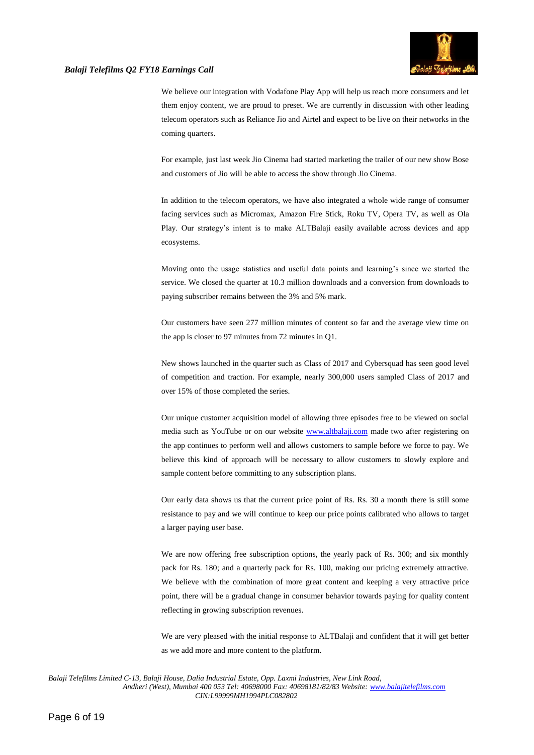

We believe our integration with Vodafone Play App will help us reach more consumers and let them enjoy content, we are proud to preset. We are currently in discussion with other leading telecom operators such as Reliance Jio and Airtel and expect to be live on their networks in the coming quarters.

For example, just last week Jio Cinema had started marketing the trailer of our new show Bose and customers of Jio will be able to access the show through Jio Cinema.

In addition to the telecom operators, we have also integrated a whole wide range of consumer facing services such as Micromax, Amazon Fire Stick, Roku TV, Opera TV, as well as Ola Play. Our strategy's intent is to make ALTBalaji easily available across devices and app ecosystems.

Moving onto the usage statistics and useful data points and learning's since we started the service. We closed the quarter at 10.3 million downloads and a conversion from downloads to paying subscriber remains between the 3% and 5% mark.

Our customers have seen 277 million minutes of content so far and the average view time on the app is closer to 97 minutes from 72 minutes in Q1.

New shows launched in the quarter such as Class of 2017 and Cybersquad has seen good level of competition and traction. For example, nearly 300,000 users sampled Class of 2017 and over 15% of those completed the series.

Our unique customer acquisition model of allowing three episodes free to be viewed on social media such as YouTube or on our website [www.altbalaji.com](http://www.altbalaji.com/) made two after registering on the app continues to perform well and allows customers to sample before we force to pay. We believe this kind of approach will be necessary to allow customers to slowly explore and sample content before committing to any subscription plans.

Our early data shows us that the current price point of Rs. Rs. 30 a month there is still some resistance to pay and we will continue to keep our price points calibrated who allows to target a larger paying user base.

We are now offering free subscription options, the yearly pack of Rs. 300; and six monthly pack for Rs. 180; and a quarterly pack for Rs. 100, making our pricing extremely attractive. We believe with the combination of more great content and keeping a very attractive price point, there will be a gradual change in consumer behavior towards paying for quality content reflecting in growing subscription revenues.

We are very pleased with the initial response to ALTBalaji and confident that it will get better as we add more and more content to the platform.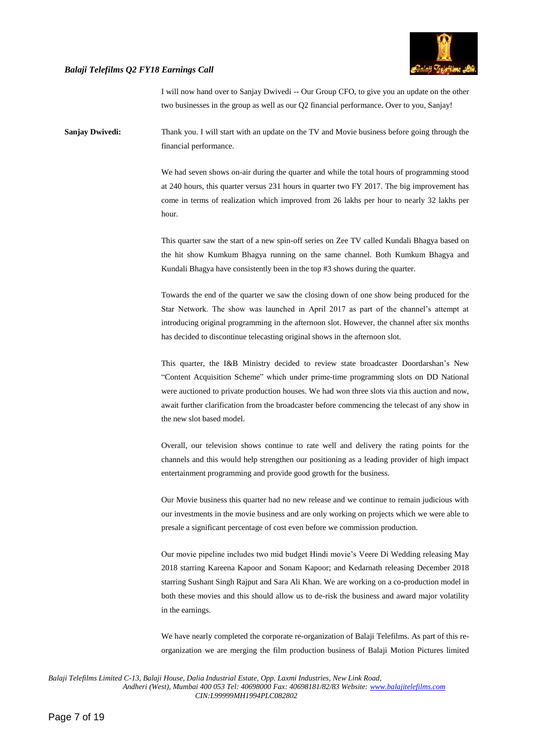

I will now hand over to Sanjay Dwivedi -- Our Group CFO, to give you an update on the other two businesses in the group as well as our Q2 financial performance. Over to you, Sanjay!

**Sanjay Dwivedi:** Thank you. I will start with an update on the TV and Movie business before going through the financial performance.

> We had seven shows on-air during the quarter and while the total hours of programming stood at 240 hours, this quarter versus 231 hours in quarter two FY 2017. The big improvement has come in terms of realization which improved from 26 lakhs per hour to nearly 32 lakhs per hour.

> This quarter saw the start of a new spin-off series on Zee TV called Kundali Bhagya based on the hit show Kumkum Bhagya running on the same channel. Both Kumkum Bhagya and Kundali Bhagya have consistently been in the top #3 shows during the quarter.

> Towards the end of the quarter we saw the closing down of one show being produced for the Star Network. The show was launched in April 2017 as part of the channel's attempt at introducing original programming in the afternoon slot. However, the channel after six months has decided to discontinue telecasting original shows in the afternoon slot.

> This quarter, the I&B Ministry decided to review state broadcaster Doordarshan's New "Content Acquisition Scheme" which under prime-time programming slots on DD National were auctioned to private production houses. We had won three slots via this auction and now, await further clarification from the broadcaster before commencing the telecast of any show in the new slot based model.

> Overall, our television shows continue to rate well and delivery the rating points for the channels and this would help strengthen our positioning as a leading provider of high impact entertainment programming and provide good growth for the business.

> Our Movie business this quarter had no new release and we continue to remain judicious with our investments in the movie business and are only working on projects which we were able to presale a significant percentage of cost even before we commission production.

> Our movie pipeline includes two mid budget Hindi movie's Veere Di Wedding releasing May 2018 starring Kareena Kapoor and Sonam Kapoor; and Kedarnath releasing December 2018 starring Sushant Singh Rajput and Sara Ali Khan. We are working on a co-production model in both these movies and this should allow us to de-risk the business and award major volatility in the earnings.

> We have nearly completed the corporate re-organization of Balaji Telefilms. As part of this reorganization we are merging the film production business of Balaji Motion Pictures limited

*Balaji Telefilms Limited C-13, Balaji House, Dalia Industrial Estate, Opp. Laxmi Industries, New Link Road,*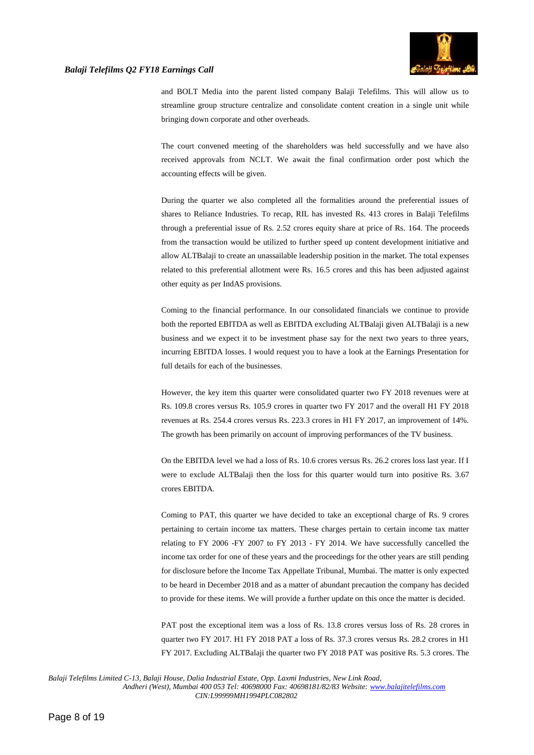

and BOLT Media into the parent listed company Balaji Telefilms. This will allow us to streamline group structure centralize and consolidate content creation in a single unit while bringing down corporate and other overheads.

The court convened meeting of the shareholders was held successfully and we have also received approvals from NCLT. We await the final confirmation order post which the accounting effects will be given.

During the quarter we also completed all the formalities around the preferential issues of shares to Reliance Industries. To recap, RIL has invested Rs. 413 crores in Balaji Telefilms through a preferential issue of Rs. 2.52 crores equity share at price of Rs. 164. The proceeds from the transaction would be utilized to further speed up content development initiative and allow ALTBalaji to create an unassailable leadership position in the market. The total expenses related to this preferential allotment were Rs. 16.5 crores and this has been adjusted against other equity as per IndAS provisions.

Coming to the financial performance. In our consolidated financials we continue to provide both the reported EBITDA as well as EBITDA excluding ALTBalaji given ALTBalaji is a new business and we expect it to be investment phase say for the next two years to three years, incurring EBITDA losses. I would request you to have a look at the Earnings Presentation for full details for each of the businesses.

However, the key item this quarter were consolidated quarter two FY 2018 revenues were at Rs. 109.8 crores versus Rs. 105.9 crores in quarter two FY 2017 and the overall H1 FY 2018 revenues at Rs. 254.4 crores versus Rs. 223.3 crores in H1 FY 2017, an improvement of 14%. The growth has been primarily on account of improving performances of the TV business.

On the EBITDA level we had a loss of Rs. 10.6 crores versus Rs. 26.2 crores loss last year. If I were to exclude ALTBalaji then the loss for this quarter would turn into positive Rs. 3.67 crores EBITDA.

Coming to PAT, this quarter we have decided to take an exceptional charge of Rs. 9 crores pertaining to certain income tax matters. These charges pertain to certain income tax matter relating to FY 2006 -FY 2007 to FY 2013 - FY 2014. We have successfully cancelled the income tax order for one of these years and the proceedings for the other years are still pending for disclosure before the Income Tax Appellate Tribunal, Mumbai. The matter is only expected to be heard in December 2018 and as a matter of abundant precaution the company has decided to provide for these items. We will provide a further update on this once the matter is decided.

PAT post the exceptional item was a loss of Rs. 13.8 crores versus loss of Rs. 28 crores in quarter two FY 2017. H1 FY 2018 PAT a loss of Rs. 37.3 crores versus Rs. 28.2 crores in H1 FY 2017. Excluding ALTBalaji the quarter two FY 2018 PAT was positive Rs. 5.3 crores. The

*Balaji Telefilms Limited C-13, Balaji House, Dalia Industrial Estate, Opp. Laxmi Industries, New Link Road,*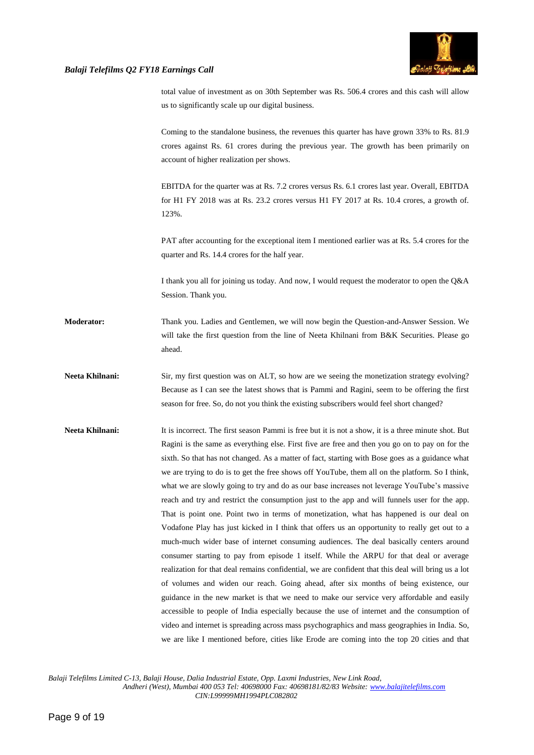

total value of investment as on 30th September was Rs. 506.4 crores and this cash will allow us to significantly scale up our digital business.

Coming to the standalone business, the revenues this quarter has have grown 33% to Rs. 81.9 crores against Rs. 61 crores during the previous year. The growth has been primarily on account of higher realization per shows.

EBITDA for the quarter was at Rs. 7.2 crores versus Rs. 6.1 crores last year. Overall, EBITDA for H1 FY 2018 was at Rs. 23.2 crores versus H1 FY 2017 at Rs. 10.4 crores, a growth of. 123%.

PAT after accounting for the exceptional item I mentioned earlier was at Rs. 5.4 crores for the quarter and Rs. 14.4 crores for the half year.

I thank you all for joining us today. And now, I would request the moderator to open the Q&A Session. Thank you.

**Moderator:** Thank you. Ladies and Gentlemen, we will now begin the Question-and-Answer Session. We will take the first question from the line of Neeta Khilnani from B&K Securities. Please go ahead.

Neeta Khilnani: Sir, my first question was on ALT, so how are we seeing the monetization strategy evolving? Because as I can see the latest shows that is Pammi and Ragini, seem to be offering the first season for free. So, do not you think the existing subscribers would feel short changed?

**Neeta Khilnani:** It is incorrect. The first season Pammi is free but it is not a show, it is a three minute shot. But Ragini is the same as everything else. First five are free and then you go on to pay on for the sixth. So that has not changed. As a matter of fact, starting with Bose goes as a guidance what we are trying to do is to get the free shows off YouTube, them all on the platform. So I think, what we are slowly going to try and do as our base increases not leverage YouTube's massive reach and try and restrict the consumption just to the app and will funnels user for the app. That is point one. Point two in terms of monetization, what has happened is our deal on Vodafone Play has just kicked in I think that offers us an opportunity to really get out to a much-much wider base of internet consuming audiences. The deal basically centers around consumer starting to pay from episode 1 itself. While the ARPU for that deal or average realization for that deal remains confidential, we are confident that this deal will bring us a lot of volumes and widen our reach. Going ahead, after six months of being existence, our guidance in the new market is that we need to make our service very affordable and easily accessible to people of India especially because the use of internet and the consumption of video and internet is spreading across mass psychographics and mass geographies in India. So, we are like I mentioned before, cities like Erode are coming into the top 20 cities and that

*Balaji Telefilms Limited C-13, Balaji House, Dalia Industrial Estate, Opp. Laxmi Industries, New Link Road,*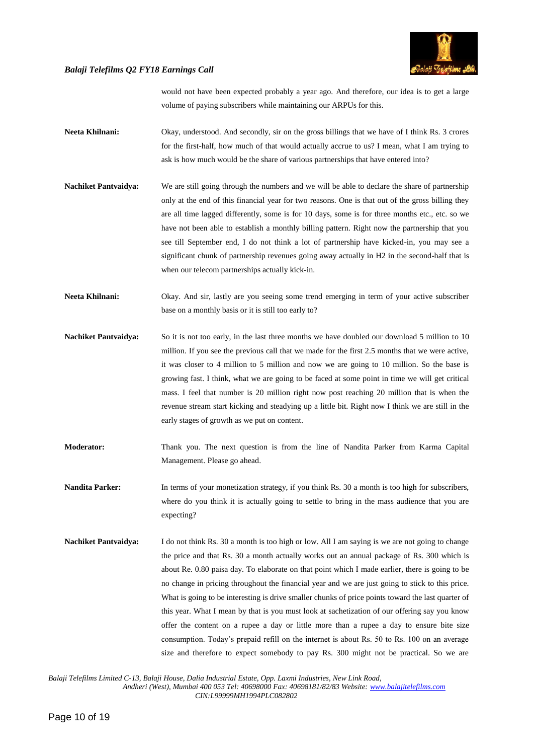

would not have been expected probably a year ago. And therefore, our idea is to get a large volume of paying subscribers while maintaining our ARPUs for this.

- Neeta Khilnani: Okay, understood. And secondly, sir on the gross billings that we have of I think Rs. 3 crores for the first-half, how much of that would actually accrue to us? I mean, what I am trying to ask is how much would be the share of various partnerships that have entered into?
- **Nachiket Pantvaidya:** We are still going through the numbers and we will be able to declare the share of partnership only at the end of this financial year for two reasons. One is that out of the gross billing they are all time lagged differently, some is for 10 days, some is for three months etc., etc. so we have not been able to establish a monthly billing pattern. Right now the partnership that you see till September end, I do not think a lot of partnership have kicked-in, you may see a significant chunk of partnership revenues going away actually in H2 in the second-half that is when our telecom partnerships actually kick-in.
- **Neeta Khilnani:** Okay. And sir, lastly are you seeing some trend emerging in term of your active subscriber base on a monthly basis or it is still too early to?
- **Nachiket Pantvaidya:** So it is not too early, in the last three months we have doubled our download 5 million to 10 million. If you see the previous call that we made for the first 2.5 months that we were active, it was closer to 4 million to 5 million and now we are going to 10 million. So the base is growing fast. I think, what we are going to be faced at some point in time we will get critical mass. I feel that number is 20 million right now post reaching 20 million that is when the revenue stream start kicking and steadying up a little bit. Right now I think we are still in the early stages of growth as we put on content.
- **Moderator:** Thank you. The next question is from the line of Nandita Parker from Karma Capital Management. Please go ahead.
- **Nandita Parker:** In terms of your monetization strategy, if you think Rs. 30 a month is too high for subscribers, where do you think it is actually going to settle to bring in the mass audience that you are expecting?
- **Nachiket Pantvaidya:** I do not think Rs. 30 a month is too high or low. All I am saying is we are not going to change the price and that Rs. 30 a month actually works out an annual package of Rs. 300 which is about Re. 0.80 paisa day. To elaborate on that point which I made earlier, there is going to be no change in pricing throughout the financial year and we are just going to stick to this price. What is going to be interesting is drive smaller chunks of price points toward the last quarter of this year. What I mean by that is you must look at sachetization of our offering say you know offer the content on a rupee a day or little more than a rupee a day to ensure bite size consumption. Today's prepaid refill on the internet is about Rs. 50 to Rs. 100 on an average size and therefore to expect somebody to pay Rs. 300 might not be practical. So we are

*Balaji Telefilms Limited C-13, Balaji House, Dalia Industrial Estate, Opp. Laxmi Industries, New Link Road,*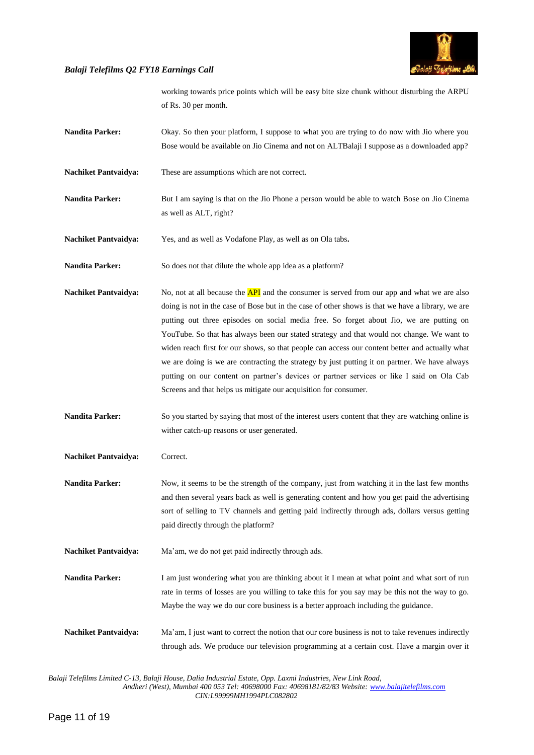

working towards price points which will be easy bite size chunk without disturbing the ARPU of Rs. 30 per month.

- **Nandita Parker:** Okay. So then your platform, I suppose to what you are trying to do now with Jio where you Bose would be available on Jio Cinema and not on ALTBalaji I suppose as a downloaded app?
- **Nachiket Pantvaidya:** These are assumptions which are not correct.
- **Nandita Parker:** But I am saying is that on the Jio Phone a person would be able to watch Bose on Jio Cinema as well as ALT, right?
- **Nachiket Pantvaidya:** Yes, and as well as Vodafone Play, as well as on Ola tabs**.**
- **Nandita Parker:** So does not that dilute the whole app idea as a platform?
- **Nachiket Pantvaidya:** No, not at all because the **API** and the consumer is served from our app and what we are also doing is not in the case of Bose but in the case of other shows is that we have a library, we are putting out three episodes on social media free. So forget about Jio, we are putting on YouTube. So that has always been our stated strategy and that would not change. We want to widen reach first for our shows, so that people can access our content better and actually what we are doing is we are contracting the strategy by just putting it on partner. We have always putting on our content on partner's devices or partner services or like I said on Ola Cab Screens and that helps us mitigate our acquisition for consumer.
- **Nandita Parker:** So you started by saying that most of the interest users content that they are watching online is wither catch-up reasons or user generated.
- **Nachiket Pantvaidya:** Correct.
- **Nandita Parker:** Now, it seems to be the strength of the company, just from watching it in the last few months and then several years back as well is generating content and how you get paid the advertising sort of selling to TV channels and getting paid indirectly through ads, dollars versus getting paid directly through the platform?
- **Nachiket Pantvaidya:** Ma'am, we do not get paid indirectly through ads.
- **Nandita Parker:** I am just wondering what you are thinking about it I mean at what point and what sort of run rate in terms of losses are you willing to take this for you say may be this not the way to go. Maybe the way we do our core business is a better approach including the guidance.
- **Nachiket Pantvaidya:** Ma'am, I just want to correct the notion that our core business is not to take revenues indirectly through ads. We produce our television programming at a certain cost. Have a margin over it

*Balaji Telefilms Limited C-13, Balaji House, Dalia Industrial Estate, Opp. Laxmi Industries, New Link Road,*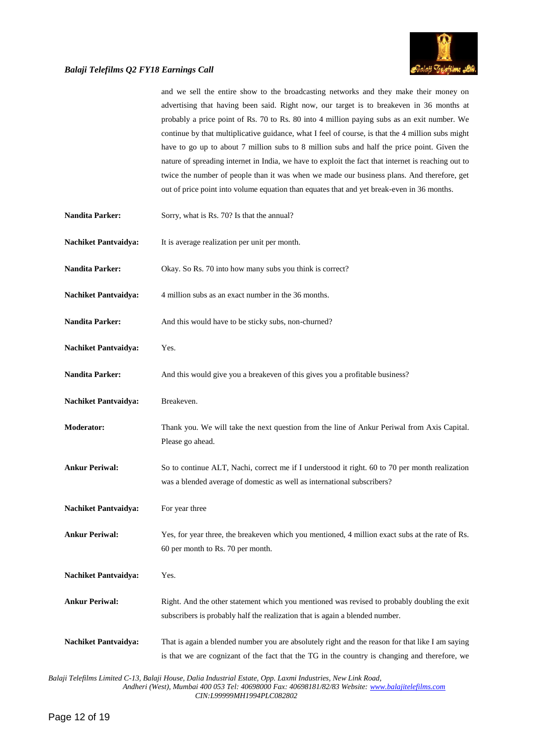

|                             | and we sell the entire show to the broadcasting networks and they make their money on<br>advertising that having been said. Right now, our target is to breakeven in 36 months at<br>probably a price point of Rs. 70 to Rs. 80 into 4 million paying subs as an exit number. We<br>continue by that multiplicative guidance, what I feel of course, is that the 4 million subs might<br>have to go up to about 7 million subs to 8 million subs and half the price point. Given the<br>nature of spreading internet in India, we have to exploit the fact that internet is reaching out to<br>twice the number of people than it was when we made our business plans. And therefore, get<br>out of price point into volume equation than equates that and yet break-even in 36 months. |
|-----------------------------|-----------------------------------------------------------------------------------------------------------------------------------------------------------------------------------------------------------------------------------------------------------------------------------------------------------------------------------------------------------------------------------------------------------------------------------------------------------------------------------------------------------------------------------------------------------------------------------------------------------------------------------------------------------------------------------------------------------------------------------------------------------------------------------------|
| <b>Nandita Parker:</b>      | Sorry, what is Rs. 70? Is that the annual?                                                                                                                                                                                                                                                                                                                                                                                                                                                                                                                                                                                                                                                                                                                                              |
| <b>Nachiket Pantvaidya:</b> | It is average realization per unit per month.                                                                                                                                                                                                                                                                                                                                                                                                                                                                                                                                                                                                                                                                                                                                           |
| <b>Nandita Parker:</b>      | Okay. So Rs. 70 into how many subs you think is correct?                                                                                                                                                                                                                                                                                                                                                                                                                                                                                                                                                                                                                                                                                                                                |
| <b>Nachiket Pantvaidya:</b> | 4 million subs as an exact number in the 36 months.                                                                                                                                                                                                                                                                                                                                                                                                                                                                                                                                                                                                                                                                                                                                     |
| <b>Nandita Parker:</b>      | And this would have to be sticky subs, non-churned?                                                                                                                                                                                                                                                                                                                                                                                                                                                                                                                                                                                                                                                                                                                                     |
| <b>Nachiket Pantvaidya:</b> | Yes.                                                                                                                                                                                                                                                                                                                                                                                                                                                                                                                                                                                                                                                                                                                                                                                    |
| <b>Nandita Parker:</b>      | And this would give you a breakeven of this gives you a profitable business?                                                                                                                                                                                                                                                                                                                                                                                                                                                                                                                                                                                                                                                                                                            |
| <b>Nachiket Pantvaidya:</b> | Breakeven.                                                                                                                                                                                                                                                                                                                                                                                                                                                                                                                                                                                                                                                                                                                                                                              |
| <b>Moderator:</b>           | Thank you. We will take the next question from the line of Ankur Periwal from Axis Capital.<br>Please go ahead.                                                                                                                                                                                                                                                                                                                                                                                                                                                                                                                                                                                                                                                                         |
| <b>Ankur Periwal:</b>       | So to continue ALT, Nachi, correct me if I understood it right. 60 to 70 per month realization<br>was a blended average of domestic as well as international subscribers?                                                                                                                                                                                                                                                                                                                                                                                                                                                                                                                                                                                                               |
| <b>Nachiket Pantvaidya:</b> | For year three                                                                                                                                                                                                                                                                                                                                                                                                                                                                                                                                                                                                                                                                                                                                                                          |
| <b>Ankur Periwal:</b>       | Yes, for year three, the breakeven which you mentioned, 4 million exact subs at the rate of Rs.<br>60 per month to Rs. 70 per month.                                                                                                                                                                                                                                                                                                                                                                                                                                                                                                                                                                                                                                                    |
| <b>Nachiket Pantvaidya:</b> | Yes.                                                                                                                                                                                                                                                                                                                                                                                                                                                                                                                                                                                                                                                                                                                                                                                    |
| <b>Ankur Periwal:</b>       | Right. And the other statement which you mentioned was revised to probably doubling the exit<br>subscribers is probably half the realization that is again a blended number.                                                                                                                                                                                                                                                                                                                                                                                                                                                                                                                                                                                                            |
| <b>Nachiket Pantvaidya:</b> | That is again a blended number you are absolutely right and the reason for that like I am saying<br>is that we are cognizant of the fact that the TG in the country is changing and therefore, we                                                                                                                                                                                                                                                                                                                                                                                                                                                                                                                                                                                       |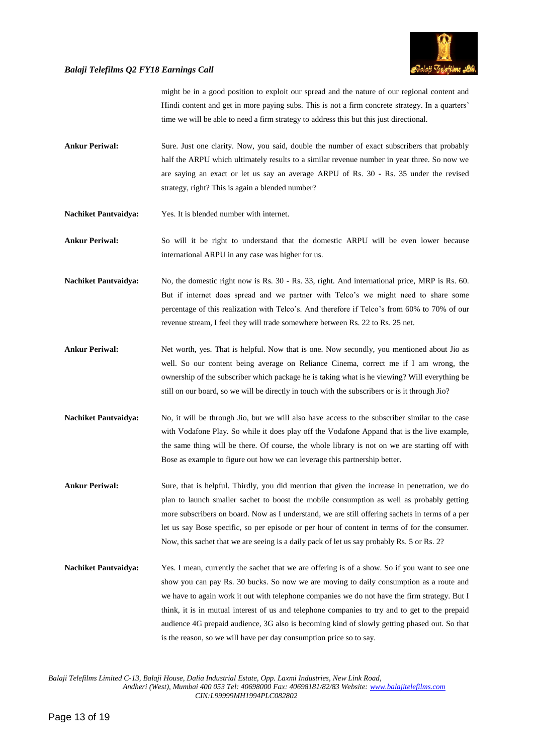

might be in a good position to exploit our spread and the nature of our regional content and Hindi content and get in more paying subs. This is not a firm concrete strategy. In a quarters' time we will be able to need a firm strategy to address this but this just directional.

- **Ankur Periwal:** Sure. Just one clarity. Now, you said, double the number of exact subscribers that probably half the ARPU which ultimately results to a similar revenue number in year three. So now we are saying an exact or let us say an average ARPU of Rs. 30 - Rs. 35 under the revised strategy, right? This is again a blended number?
- **Nachiket Pantvaidya:** Yes. It is blended number with internet.
- **Ankur Periwal:** So will it be right to understand that the domestic ARPU will be even lower because international ARPU in any case was higher for us.
- **Nachiket Pantvaidya:** No, the domestic right now is Rs. 30 Rs. 33, right. And international price, MRP is Rs. 60. But if internet does spread and we partner with Telco's we might need to share some percentage of this realization with Telco's. And therefore if Telco's from 60% to 70% of our revenue stream, I feel they will trade somewhere between Rs. 22 to Rs. 25 net.
- **Ankur Periwal:** Net worth, yes. That is helpful. Now that is one. Now secondly, you mentioned about Jio as well. So our content being average on Reliance Cinema, correct me if I am wrong, the ownership of the subscriber which package he is taking what is he viewing? Will everything be still on our board, so we will be directly in touch with the subscribers or is it through Jio?
- **Nachiket Pantvaidya:** No, it will be through Jio, but we will also have access to the subscriber similar to the case with Vodafone Play. So while it does play off the Vodafone Appand that is the live example, the same thing will be there. Of course, the whole library is not on we are starting off with Bose as example to figure out how we can leverage this partnership better.
- **Ankur Periwal:** Sure, that is helpful. Thirdly, you did mention that given the increase in penetration, we do plan to launch smaller sachet to boost the mobile consumption as well as probably getting more subscribers on board. Now as I understand, we are still offering sachets in terms of a per let us say Bose specific, so per episode or per hour of content in terms of for the consumer. Now, this sachet that we are seeing is a daily pack of let us say probably Rs. 5 or Rs. 2?
- **Nachiket Pantvaidya:** Yes. I mean, currently the sachet that we are offering is of a show. So if you want to see one show you can pay Rs. 30 bucks. So now we are moving to daily consumption as a route and we have to again work it out with telephone companies we do not have the firm strategy. But I think, it is in mutual interest of us and telephone companies to try and to get to the prepaid audience 4G prepaid audience, 3G also is becoming kind of slowly getting phased out. So that is the reason, so we will have per day consumption price so to say.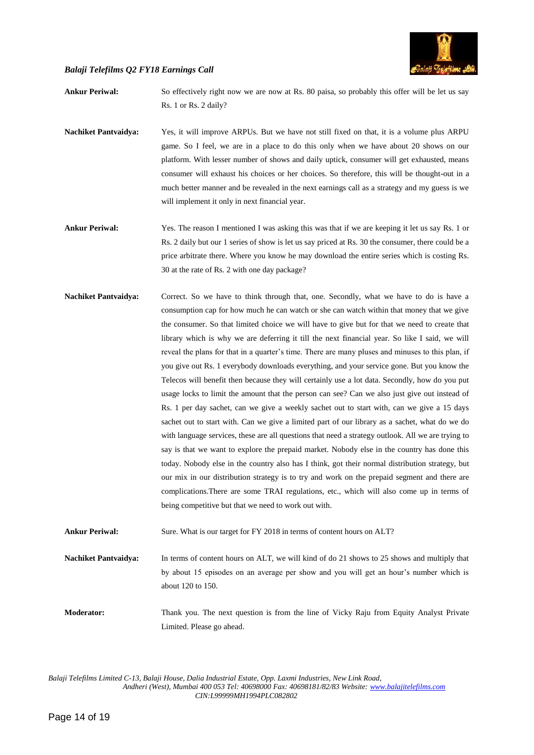

**Ankur Periwal:** So effectively right now we are now at Rs. 80 paisa, so probably this offer will be let us say Rs. 1 or Rs. 2 daily?

- **Nachiket Pantvaidya:** Yes, it will improve ARPUs. But we have not still fixed on that, it is a volume plus ARPU game. So I feel, we are in a place to do this only when we have about 20 shows on our platform. With lesser number of shows and daily uptick, consumer will get exhausted, means consumer will exhaust his choices or her choices. So therefore, this will be thought-out in a much better manner and be revealed in the next earnings call as a strategy and my guess is we will implement it only in next financial year.
- **Ankur Periwal:** Yes. The reason I mentioned I was asking this was that if we are keeping it let us say Rs. 1 or Rs. 2 daily but our 1 series of show is let us say priced at Rs. 30 the consumer, there could be a price arbitrate there. Where you know he may download the entire series which is costing Rs. 30 at the rate of Rs. 2 with one day package?
- **Nachiket Pantvaidya:** Correct. So we have to think through that, one. Secondly, what we have to do is have a consumption cap for how much he can watch or she can watch within that money that we give the consumer. So that limited choice we will have to give but for that we need to create that library which is why we are deferring it till the next financial year. So like I said, we will reveal the plans for that in a quarter's time. There are many pluses and minuses to this plan, if you give out Rs. 1 everybody downloads everything, and your service gone. But you know the Telecos will benefit then because they will certainly use a lot data. Secondly, how do you put usage locks to limit the amount that the person can see? Can we also just give out instead of Rs. 1 per day sachet, can we give a weekly sachet out to start with, can we give a 15 days sachet out to start with. Can we give a limited part of our library as a sachet, what do we do with language services, these are all questions that need a strategy outlook. All we are trying to say is that we want to explore the prepaid market. Nobody else in the country has done this today. Nobody else in the country also has I think, got their normal distribution strategy, but our mix in our distribution strategy is to try and work on the prepaid segment and there are complications.There are some TRAI regulations, etc., which will also come up in terms of being competitive but that we need to work out with.

Ankur Periwal: Sure. What is our target for FY 2018 in terms of content hours on ALT?

**Nachiket Pantvaidya:** In terms of content hours on ALT, we will kind of do 21 shows to 25 shows and multiply that by about 15 episodes on an average per show and you will get an hour's number which is about 120 to 150.

**Moderator:** Thank you. The next question is from the line of Vicky Raju from Equity Analyst Private Limited. Please go ahead.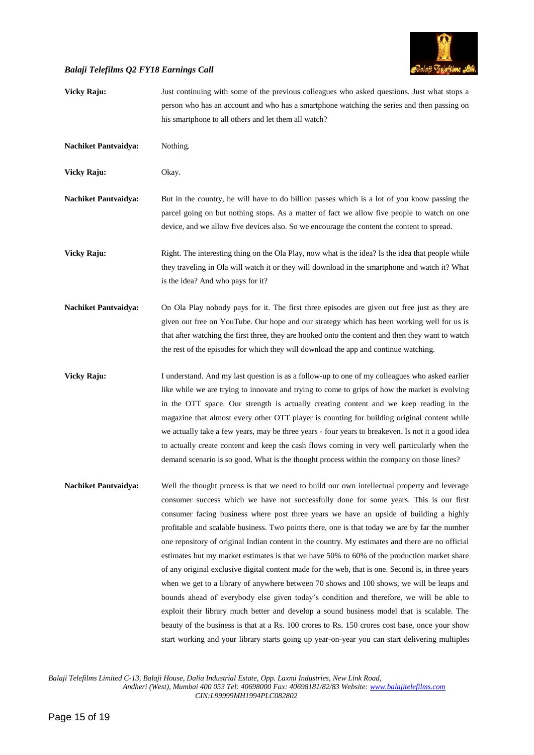

| <b>Vicky Raju:</b>          | Just continuing with some of the previous colleagues who asked questions. Just what stops a<br>person who has an account and who has a smartphone watching the series and then passing on<br>his smartphone to all others and let them all watch?                                                                                                                                                                                                                                                                                                                                                                                                                                                                                                                                                                                                                                                                                                                                                                                                                                                                                                                                      |
|-----------------------------|----------------------------------------------------------------------------------------------------------------------------------------------------------------------------------------------------------------------------------------------------------------------------------------------------------------------------------------------------------------------------------------------------------------------------------------------------------------------------------------------------------------------------------------------------------------------------------------------------------------------------------------------------------------------------------------------------------------------------------------------------------------------------------------------------------------------------------------------------------------------------------------------------------------------------------------------------------------------------------------------------------------------------------------------------------------------------------------------------------------------------------------------------------------------------------------|
| <b>Nachiket Pantvaidya:</b> | Nothing.                                                                                                                                                                                                                                                                                                                                                                                                                                                                                                                                                                                                                                                                                                                                                                                                                                                                                                                                                                                                                                                                                                                                                                               |
| Vicky Raju:                 | Okay.                                                                                                                                                                                                                                                                                                                                                                                                                                                                                                                                                                                                                                                                                                                                                                                                                                                                                                                                                                                                                                                                                                                                                                                  |
| <b>Nachiket Pantvaidya:</b> | But in the country, he will have to do billion passes which is a lot of you know passing the<br>parcel going on but nothing stops. As a matter of fact we allow five people to watch on one<br>device, and we allow five devices also. So we encourage the content the content to spread.                                                                                                                                                                                                                                                                                                                                                                                                                                                                                                                                                                                                                                                                                                                                                                                                                                                                                              |
| <b>Vicky Raju:</b>          | Right. The interesting thing on the Ola Play, now what is the idea? Is the idea that people while<br>they traveling in Ola will watch it or they will download in the smartphone and watch it? What<br>is the idea? And who pays for it?                                                                                                                                                                                                                                                                                                                                                                                                                                                                                                                                                                                                                                                                                                                                                                                                                                                                                                                                               |
| <b>Nachiket Pantvaidya:</b> | On Ola Play nobody pays for it. The first three episodes are given out free just as they are<br>given out free on YouTube. Our hope and our strategy which has been working well for us is<br>that after watching the first three, they are hooked onto the content and then they want to watch<br>the rest of the episodes for which they will download the app and continue watching.                                                                                                                                                                                                                                                                                                                                                                                                                                                                                                                                                                                                                                                                                                                                                                                                |
| <b>Vicky Raju:</b>          | I understand. And my last question is as a follow-up to one of my colleagues who asked earlier<br>like while we are trying to innovate and trying to come to grips of how the market is evolving<br>in the OTT space. Our strength is actually creating content and we keep reading in the<br>magazine that almost every other OTT player is counting for building original content while<br>we actually take a few years, may be three years - four years to breakeven. Is not it a good idea<br>to actually create content and keep the cash flows coming in very well particularly when the<br>demand scenario is so good. What is the thought process within the company on those lines?                                                                                                                                                                                                                                                                                                                                                                                                                                                                                           |
| <b>Nachiket Pantvaidya:</b> | Well the thought process is that we need to build our own intellectual property and leverage<br>consumer success which we have not successfully done for some years. This is our first<br>consumer facing business where post three years we have an upside of building a highly<br>profitable and scalable business. Two points there, one is that today we are by far the number<br>one repository of original Indian content in the country. My estimates and there are no official<br>estimates but my market estimates is that we have 50% to 60% of the production market share<br>of any original exclusive digital content made for the web, that is one. Second is, in three years<br>when we get to a library of anywhere between 70 shows and 100 shows, we will be leaps and<br>bounds ahead of everybody else given today's condition and therefore, we will be able to<br>exploit their library much better and develop a sound business model that is scalable. The<br>beauty of the business is that at a Rs. 100 crores to Rs. 150 crores cost base, once your show<br>start working and your library starts going up year-on-year you can start delivering multiples |

*Balaji Telefilms Limited C-13, Balaji House, Dalia Industrial Estate, Opp. Laxmi Industries, New Link Road,*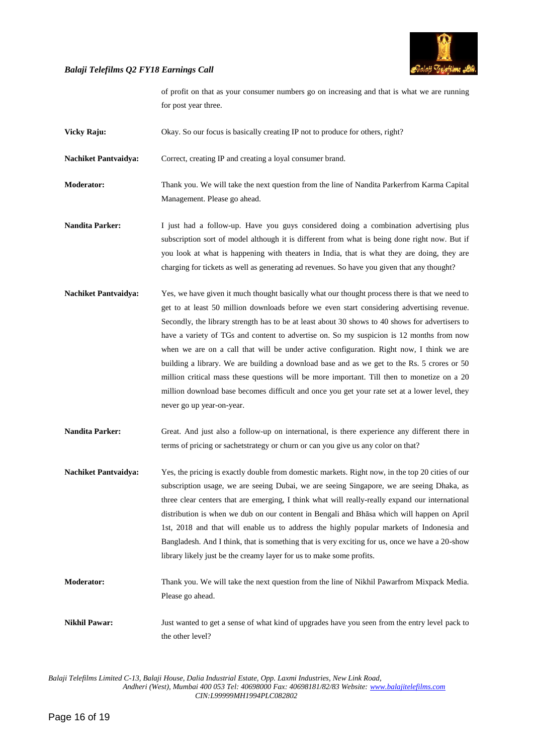

of profit on that as your consumer numbers go on increasing and that is what we are running for post year three.

**Vicky Raju:** Okay. So our focus is basically creating IP not to produce for others, right?

Nachiket Pantvaidya: Correct, creating IP and creating a loyal consumer brand.

**Moderator:** Thank you. We will take the next question from the line of Nandita Parkerfrom Karma Capital Management. Please go ahead.

- **Nandita Parker:** I just had a follow-up. Have you guys considered doing a combination advertising plus subscription sort of model although it is different from what is being done right now. But if you look at what is happening with theaters in India, that is what they are doing, they are charging for tickets as well as generating ad revenues. So have you given that any thought?
- **Nachiket Pantvaidya:** Yes, we have given it much thought basically what our thought process there is that we need to get to at least 50 million downloads before we even start considering advertising revenue. Secondly, the library strength has to be at least about 30 shows to 40 shows for advertisers to have a variety of TGs and content to advertise on. So my suspicion is 12 months from now when we are on a call that will be under active configuration. Right now, I think we are building a library. We are building a download base and as we get to the Rs. 5 crores or 50 million critical mass these questions will be more important. Till then to monetize on a 20 million download base becomes difficult and once you get your rate set at a lower level, they never go up year-on-year.
- **Nandita Parker:** Great. And just also a follow-up on international, is there experience any different there in terms of pricing or sachetstrategy or churn or can you give us any color on that?
- **Nachiket Pantvaidya:** Yes, the pricing is exactly double from domestic markets. Right now, in the top 20 cities of our subscription usage, we are seeing Dubai, we are seeing Singapore, we are seeing Dhaka, as three clear centers that are emerging, I think what will really-really expand our international distribution is when we dub on our content in Bengali and Bhāsa which will happen on April 1st, 2018 and that will enable us to address the highly popular markets of Indonesia and Bangladesh. And I think, that is something that is very exciting for us, once we have a 20-show library likely just be the creamy layer for us to make some profits.
- **Moderator:** Thank you. We will take the next question from the line of Nikhil Pawarfrom Mixpack Media. Please go ahead.
- **Nikhil Pawar:** Just wanted to get a sense of what kind of upgrades have you seen from the entry level pack to the other level?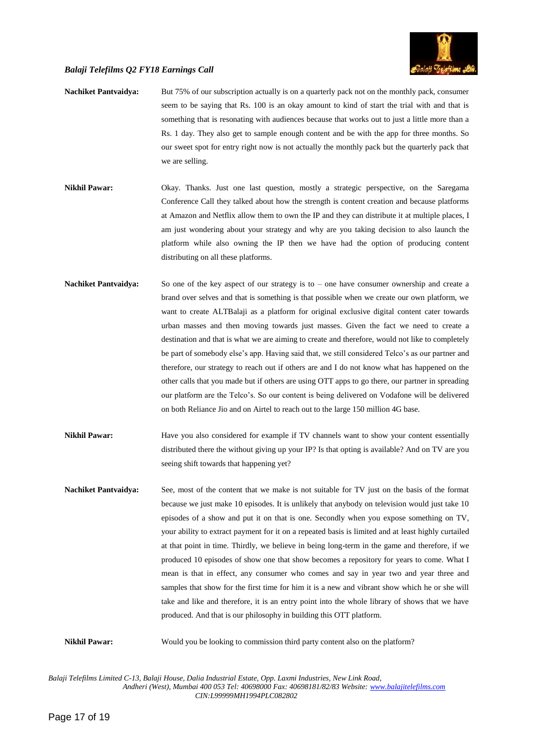

- **Nachiket Pantvaidya:** But 75% of our subscription actually is on a quarterly pack not on the monthly pack, consumer seem to be saying that Rs. 100 is an okay amount to kind of start the trial with and that is something that is resonating with audiences because that works out to just a little more than a Rs. 1 day. They also get to sample enough content and be with the app for three months. So our sweet spot for entry right now is not actually the monthly pack but the quarterly pack that we are selling.
- **Nikhil Pawar:** Okay. Thanks. Just one last question, mostly a strategic perspective, on the Saregama Conference Call they talked about how the strength is content creation and because platforms at Amazon and Netflix allow them to own the IP and they can distribute it at multiple places, I am just wondering about your strategy and why are you taking decision to also launch the platform while also owning the IP then we have had the option of producing content distributing on all these platforms.
- **Nachiket Pantvaidya:** So one of the key aspect of our strategy is to one have consumer ownership and create a brand over selves and that is something is that possible when we create our own platform, we want to create ALTBalaji as a platform for original exclusive digital content cater towards urban masses and then moving towards just masses. Given the fact we need to create a destination and that is what we are aiming to create and therefore, would not like to completely be part of somebody else's app. Having said that, we still considered Telco's as our partner and therefore, our strategy to reach out if others are and I do not know what has happened on the other calls that you made but if others are using OTT apps to go there, our partner in spreading our platform are the Telco's. So our content is being delivered on Vodafone will be delivered on both Reliance Jio and on Airtel to reach out to the large 150 million 4G base.
- **Nikhil Pawar:** Have you also considered for example if TV channels want to show your content essentially distributed there the without giving up your IP? Is that opting is available? And on TV are you seeing shift towards that happening yet?
- **Nachiket Pantvaidya:** See, most of the content that we make is not suitable for TV just on the basis of the format because we just make 10 episodes. It is unlikely that anybody on television would just take 10 episodes of a show and put it on that is one. Secondly when you expose something on TV, your ability to extract payment for it on a repeated basis is limited and at least highly curtailed at that point in time. Thirdly, we believe in being long-term in the game and therefore, if we produced 10 episodes of show one that show becomes a repository for years to come. What I mean is that in effect, any consumer who comes and say in year two and year three and samples that show for the first time for him it is a new and vibrant show which he or she will take and like and therefore, it is an entry point into the whole library of shows that we have produced. And that is our philosophy in building this OTT platform.

**Nikhil Pawar:** Would you be looking to commission third party content also on the platform?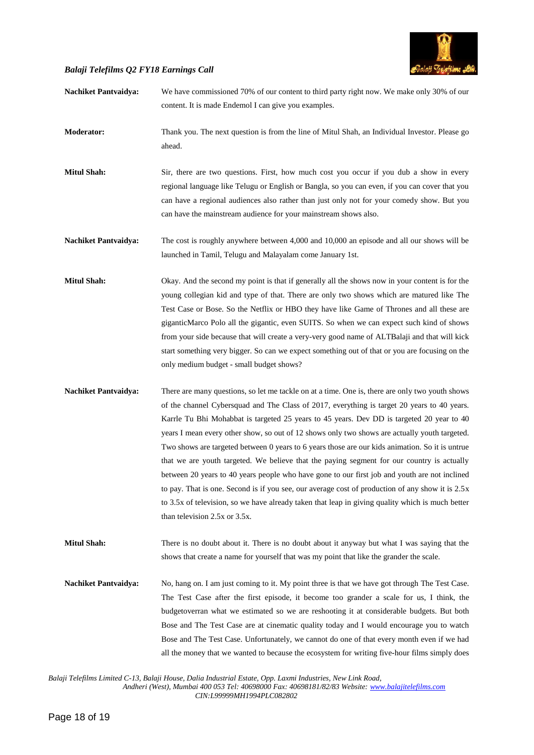

| <b>Nachiket Pantvaidya:</b> | We have commissioned 70% of our content to third party right now. We make only 30% of our<br>content. It is made Endemol I can give you examples.                                                                                                                                                                                                                                                                                                                                                                                                                                                                                                                                                                                                                                                                                                                                                                                       |
|-----------------------------|-----------------------------------------------------------------------------------------------------------------------------------------------------------------------------------------------------------------------------------------------------------------------------------------------------------------------------------------------------------------------------------------------------------------------------------------------------------------------------------------------------------------------------------------------------------------------------------------------------------------------------------------------------------------------------------------------------------------------------------------------------------------------------------------------------------------------------------------------------------------------------------------------------------------------------------------|
| Moderator:                  | Thank you. The next question is from the line of Mitul Shah, an Individual Investor. Please go<br>ahead.                                                                                                                                                                                                                                                                                                                                                                                                                                                                                                                                                                                                                                                                                                                                                                                                                                |
| <b>Mitul Shah:</b>          | Sir, there are two questions. First, how much cost you occur if you dub a show in every<br>regional language like Telugu or English or Bangla, so you can even, if you can cover that you<br>can have a regional audiences also rather than just only not for your comedy show. But you<br>can have the mainstream audience for your mainstream shows also.                                                                                                                                                                                                                                                                                                                                                                                                                                                                                                                                                                             |
| <b>Nachiket Pantvaidya:</b> | The cost is roughly anywhere between 4,000 and 10,000 an episode and all our shows will be<br>launched in Tamil, Telugu and Malayalam come January 1st.                                                                                                                                                                                                                                                                                                                                                                                                                                                                                                                                                                                                                                                                                                                                                                                 |
| <b>Mitul Shah:</b>          | Okay. And the second my point is that if generally all the shows now in your content is for the<br>young collegian kid and type of that. There are only two shows which are matured like The<br>Test Case or Bose. So the Netflix or HBO they have like Game of Thrones and all these are<br>giganticMarco Polo all the gigantic, even SUITS. So when we can expect such kind of shows<br>from your side because that will create a very-very good name of ALTBalaji and that will kick<br>start something very bigger. So can we expect something out of that or you are focusing on the<br>only medium budget - small budget shows?                                                                                                                                                                                                                                                                                                   |
| <b>Nachiket Pantvaidya:</b> | There are many questions, so let me tackle on at a time. One is, there are only two youth shows<br>of the channel Cybersquad and The Class of 2017, everything is target 20 years to 40 years.<br>Karrle Tu Bhi Mohabbat is targeted 25 years to 45 years. Dev DD is targeted 20 year to 40<br>years I mean every other show, so out of 12 shows only two shows are actually youth targeted.<br>Two shows are targeted between 0 years to 6 years those are our kids animation. So it is untrue<br>that we are youth targeted. We believe that the paying segment for our country is actually<br>between 20 years to 40 years people who have gone to our first job and youth are not inclined<br>to pay. That is one. Second is if you see, our average cost of production of any show it is 2.5x<br>to 3.5x of television, so we have already taken that leap in giving quality which is much better<br>than television 2.5x or 3.5x. |
| <b>Mitul Shah:</b>          | There is no doubt about it. There is no doubt about it anyway but what I was saying that the<br>shows that create a name for yourself that was my point that like the grander the scale.                                                                                                                                                                                                                                                                                                                                                                                                                                                                                                                                                                                                                                                                                                                                                |
| <b>Nachiket Pantvaidya:</b> | No, hang on. I am just coming to it. My point three is that we have got through The Test Case.<br>The Test Case after the first episode, it become too grander a scale for us, I think, the<br>budgetoverran what we estimated so we are reshooting it at considerable budgets. But both<br>Bose and The Test Case are at cinematic quality today and I would encourage you to watch<br>Bose and The Test Case. Unfortunately, we cannot do one of that every month even if we had<br>all the money that we wanted to because the ecosystem for writing five-hour films simply does                                                                                                                                                                                                                                                                                                                                                     |

*Balaji Telefilms Limited C-13, Balaji House, Dalia Industrial Estate, Opp. Laxmi Industries, New Link Road,*